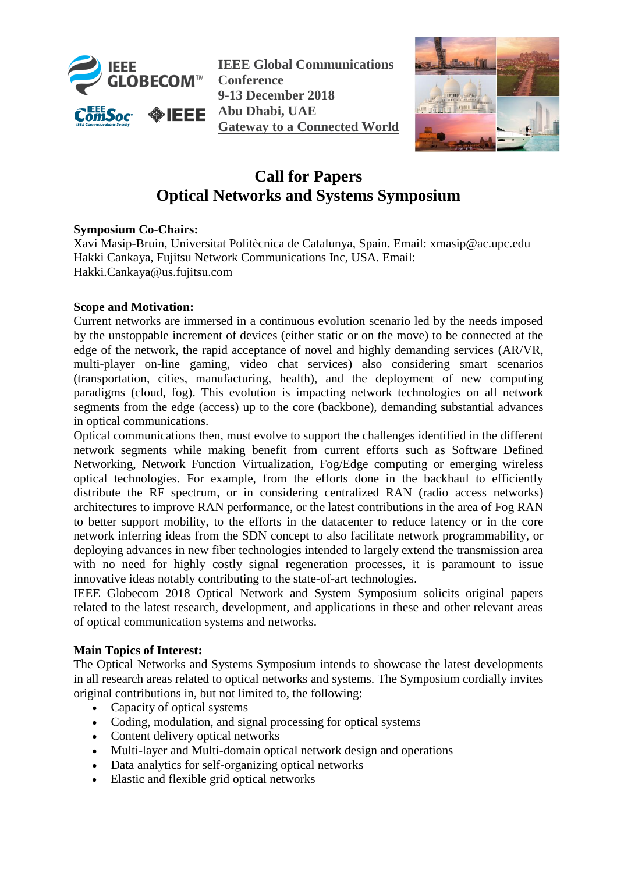

**IEEE Global Communications Conference 9-13 December 2018 Abu Dhabi, UAE Gateway to a Connected World**



## **Call for Papers Optical Networks and Systems Symposium**

## **Symposium Co-Chairs:**

Xavi Masip-Bruin, Universitat Politècnica de Catalunya, Spain. Email: xmasip@ac.upc.edu Hakki Cankaya, Fujitsu Network Communications Inc, USA. Email: Hakki.Cankaya@us.fujitsu.com

## **Scope and Motivation:**

Current networks are immersed in a continuous evolution scenario led by the needs imposed by the unstoppable increment of devices (either static or on the move) to be connected at the edge of the network, the rapid acceptance of novel and highly demanding services (AR/VR, multi-player on-line gaming, video chat services) also considering smart scenarios (transportation, cities, manufacturing, health), and the deployment of new computing paradigms (cloud, fog). This evolution is impacting network technologies on all network segments from the edge (access) up to the core (backbone), demanding substantial advances in optical communications.

Optical communications then, must evolve to support the challenges identified in the different network segments while making benefit from current efforts such as Software Defined Networking, Network Function Virtualization, Fog/Edge computing or emerging wireless optical technologies. For example, from the efforts done in the backhaul to efficiently distribute the RF spectrum, or in considering centralized RAN (radio access networks) architectures to improve RAN performance, or the latest contributions in the area of Fog RAN to better support mobility, to the efforts in the datacenter to reduce latency or in the core network inferring ideas from the SDN concept to also facilitate network programmability, or deploying advances in new fiber technologies intended to largely extend the transmission area with no need for highly costly signal regeneration processes, it is paramount to issue innovative ideas notably contributing to the state-of-art technologies.

IEEE Globecom 2018 Optical Network and System Symposium solicits original papers related to the latest research, development, and applications in these and other relevant areas of optical communication systems and networks.

## **Main Topics of Interest:**

The Optical Networks and Systems Symposium intends to showcase the latest developments in all research areas related to optical networks and systems. The Symposium cordially invites original contributions in, but not limited to, the following:

- Capacity of optical systems
- Coding, modulation, and signal processing for optical systems
- Content delivery optical networks
- Multi-layer and Multi-domain optical network design and operations
- Data analytics for self-organizing optical networks
- Elastic and flexible grid optical networks